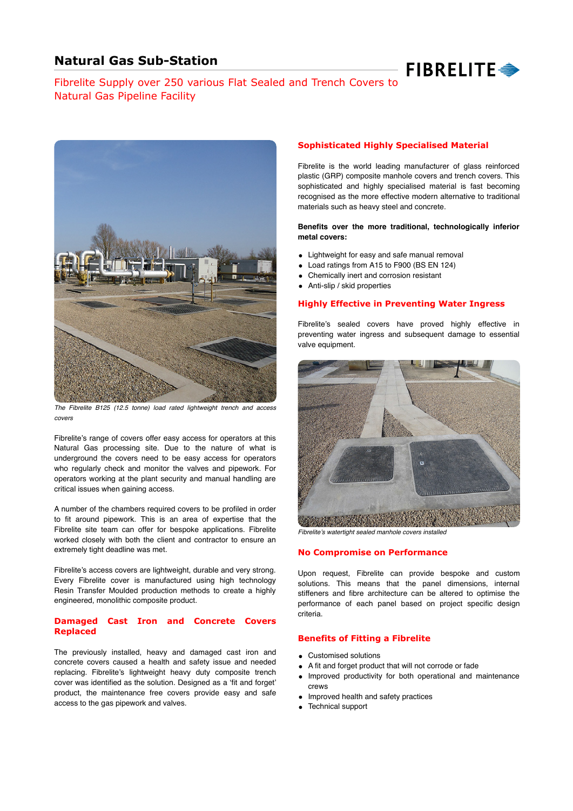# **Natural Gas Sub-Station**



# Fibrelite Supply over 250 various Flat Sealed and Trench Covers to Natural Gas Pipeline Facility



*The Fibrelite B125 (12.5 tonne) load rated lightweight trench and access covers*

Fibrelite's range of covers offer easy access for operators at this Natural Gas processing site. Due to the nature of what is underground the covers need to be easy access for operators who regularly check and monitor the valves and pipework. For operators working at the plant security and manual handling are critical issues when gaining access.

A number of the chambers required covers to be profiled in order to fit around pipework. This is an area of expertise that the Fibrelite site team can offer for bespoke applications. Fibrelite worked closely with both the client and contractor to ensure an extremely tight deadline was met.

Fibrelite's access covers are lightweight, durable and very strong. Every Fibrelite cover is manufactured using high technology Resin Transfer Moulded production methods to create a highly engineered, monolithic composite product.

#### **Damaged Cast Iron and Concrete Covers Replaced**

The previously installed, heavy and damaged cast iron and concrete covers caused a health and safety issue and needed replacing. Fibrelite's lightweight heavy duty composite trench cover was identified as the solution. Designed as a 'fit and forget' product, the maintenance free covers provide easy and safe access to the gas pipework and valves.

### **Sophisticated Highly Specialised Material**

Fibrelite is the world leading manufacturer of glass reinforced plastic (GRP) composite manhole covers and trench covers. This sophisticated and highly specialised material is fast becoming recognised as the more effective modern alternative to traditional materials such as heavy steel and concrete.

**Benefits over the more traditional, technologically inferior metal covers:**

- Lightweight for easy and safe manual removal
- Load ratings from A15 to F900 (BS EN 124)
- Chemically inert and corrosion resistant
- Anti-slip / skid properties

#### **Highly Effective in Preventing Water Ingress**

Fibrelite's sealed covers have proved highly effective in preventing water ingress and subsequent damage to essential valve equipment.



*Fibrelite*'*s watertight sealed manhole covers installed*

#### **No Compromise on Performance**

Upon request, Fibrelite can provide bespoke and custom solutions. This means that the panel dimensions, internal stiffeners and fibre architecture can be altered to optimise the performance of each panel based on project specific design criteria.

#### **Benefits of Fitting a Fibrelite**

- Customised solutions
- A fit and forget product that will not corrode or fade
- Improved productivity for both operational and maintenance crews
- Improved health and safety practices
- Technical support